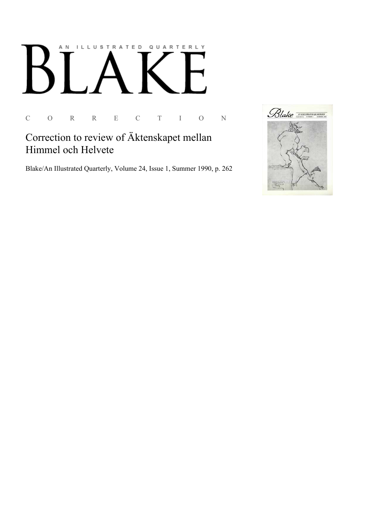

C O R R E C T I O N

## Correction to review of Äktenskapet mellan Himmel och Helvete

Blake/An Illustrated Quarterly, Volume 24, Issue 1, Summer 1990, p. 262